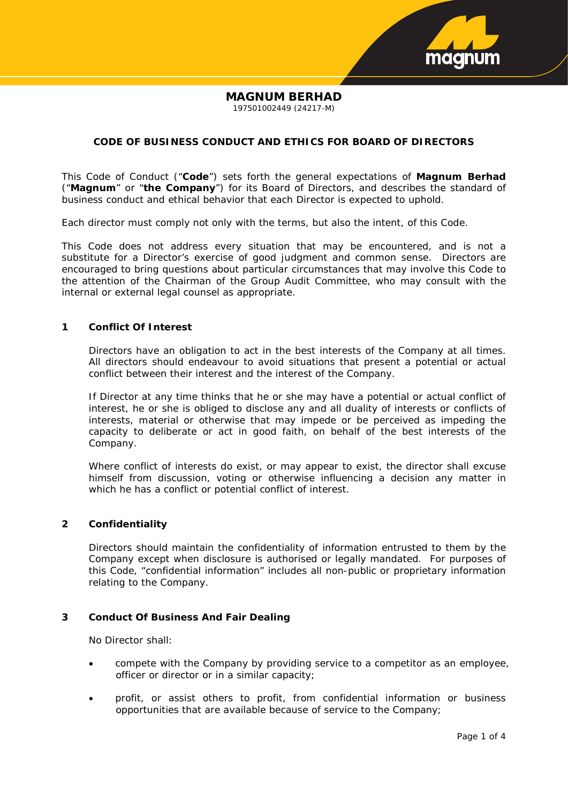

# **MAGNUM BERHAD**

197501002449 (24217-M)

## **CODE OF BUSINESS CONDUCT AND ETHICS FOR BOARD OF DIRECTORS**

This Code of Conduct ("**Code**") sets forth the general expectations of **Magnum Berhad** ("**Magnum**" or "**the Company**") for its Board of Directors, and describes the standard of business conduct and ethical behavior that each Director is expected to uphold.

Each director must comply not only with the terms, but also the intent, of this Code.

This Code does not address every situation that may be encountered, and is not a substitute for a Director's exercise of good judgment and common sense. Directors are encouraged to bring questions about particular circumstances that may involve this Code to the attention of the Chairman of the Group Audit Committee, who may consult with the internal or external legal counsel as appropriate.

## **1 Conflict Of Interest**

Directors have an obligation to act in the best interests of the Company at all times. All directors should endeavour to avoid situations that present a potential or actual conflict between their interest and the interest of the Company.

If Director at any time thinks that he or she may have a potential or actual conflict of interest, he or she is obliged to disclose any and all duality of interests or conflicts of interests, material or otherwise that may impede or be perceived as impeding the capacity to deliberate or act in good faith, on behalf of the best interests of the Company.

Where conflict of interests do exist, or may appear to exist, the director shall excuse himself from discussion, voting or otherwise influencing a decision any matter in which he has a conflict or potential conflict of interest.

## **2 Confidentiality**

Directors should maintain the confidentiality of information entrusted to them by the Company except when disclosure is authorised or legally mandated. For purposes of this Code, "confidential information" includes all non-public or proprietary information relating to the Company.

## **3 Conduct Of Business And Fair Dealing**

No Director shall:

- compete with the Company by providing service to a competitor as an employee, officer or director or in a similar capacity;
- profit, or assist others to profit, from confidential information or business opportunities that are available because of service to the Company;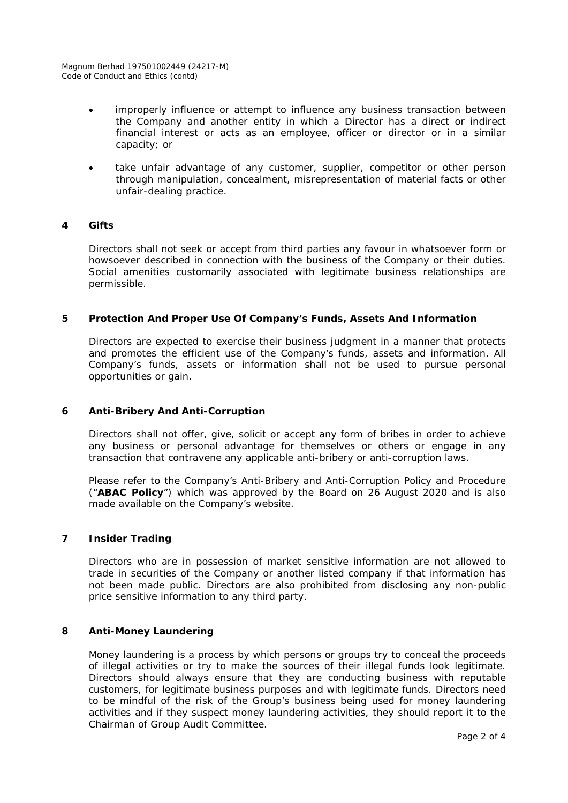- improperly influence or attempt to influence any business transaction between the Company and another entity in which a Director has a direct or indirect financial interest or acts as an employee, officer or director or in a similar capacity; or
- take unfair advantage of any customer, supplier, competitor or other person through manipulation, concealment, misrepresentation of material facts or other unfair-dealing practice.

## **4 Gifts**

Directors shall not seek or accept from third parties any favour in whatsoever form or howsoever described in connection with the business of the Company or their duties. Social amenities customarily associated with legitimate business relationships are permissible.

## **5 Protection And Proper Use Of Company's Funds, Assets And Information**

Directors are expected to exercise their business judgment in a manner that protects and promotes the efficient use of the Company's funds, assets and information. All Company's funds, assets or information shall not be used to pursue personal opportunities or gain.

## **6 Anti-Bribery And Anti-Corruption**

Directors shall not offer, give, solicit or accept any form of bribes in order to achieve any business or personal advantage for themselves or others or engage in any transaction that contravene any applicable anti-bribery or anti-corruption laws.

Please refer to the Company's Anti-Bribery and Anti-Corruption Policy and Procedure ("**ABAC Policy**") which was approved by the Board on 26 August 2020 and is also made available on the Company's website.

## **7 Insider Trading**

Directors who are in possession of market sensitive information are not allowed to trade in securities of the Company or another listed company if that information has not been made public. Directors are also prohibited from disclosing any non-public price sensitive information to any third party.

## **8 Anti-Money Laundering**

Money laundering is a process by which persons or groups try to conceal the proceeds of illegal activities or try to make the sources of their illegal funds look legitimate. Directors should always ensure that they are conducting business with reputable customers, for legitimate business purposes and with legitimate funds. Directors need to be mindful of the risk of the Group's business being used for money laundering activities and if they suspect money laundering activities, they should report it to the Chairman of Group Audit Committee.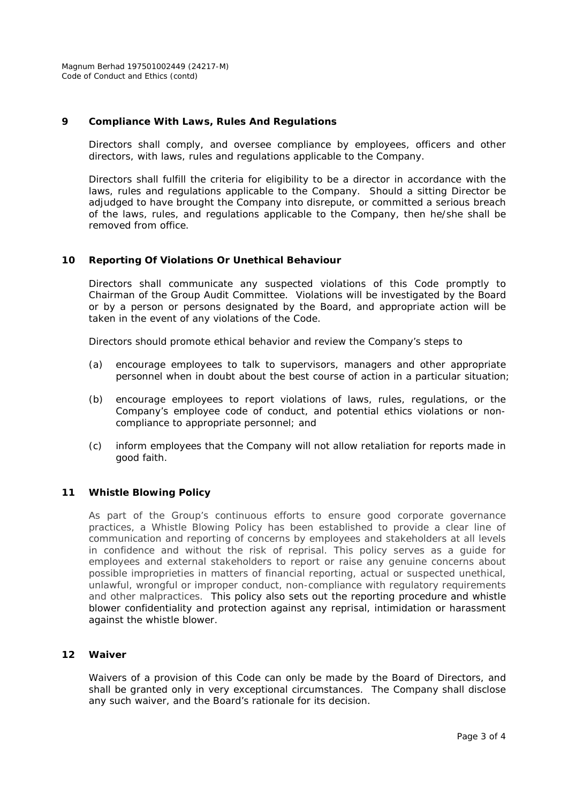Magnum Berhad 197501002449 (24217-M) Code of Conduct and Ethics (contd)

#### **9 Compliance With Laws, Rules And Regulations**

Directors shall comply, and oversee compliance by employees, officers and other directors, with laws, rules and regulations applicable to the Company.

Directors shall fulfill the criteria for eligibility to be a director in accordance with the laws, rules and regulations applicable to the Company. Should a sitting Director be adjudged to have brought the Company into disrepute, or committed a serious breach of the laws, rules, and regulations applicable to the Company, then he/she shall be removed from office.

#### **10 Reporting Of Violations Or Unethical Behaviour**

Directors shall communicate any suspected violations of this Code promptly to Chairman of the Group Audit Committee. Violations will be investigated by the Board or by a person or persons designated by the Board, and appropriate action will be taken in the event of any violations of the Code.

Directors should promote ethical behavior and review the Company's steps to

- (a) encourage employees to talk to supervisors, managers and other appropriate personnel when in doubt about the best course of action in a particular situation;
- (b) encourage employees to report violations of laws, rules, regulations, or the Company's employee code of conduct, and potential ethics violations or noncompliance to appropriate personnel; and
- (c) inform employees that the Company will not allow retaliation for reports made in good faith.

#### **11 Whistle Blowing Policy**

As part of the Group's continuous efforts to ensure good corporate governance practices, a Whistle Blowing Policy has been established to provide a clear line of communication and reporting of concerns by employees and stakeholders at all levels in confidence and without the risk of reprisal. This policy serves as a guide for employees and external stakeholders to report or raise any genuine concerns about possible improprieties in matters of financial reporting, actual or suspected unethical, unlawful, wrongful or improper conduct, non-compliance with regulatory requirements and other malpractices. This policy also sets out the reporting procedure and whistle blower confidentiality and protection against any reprisal, intimidation or harassment against the whistle blower.

#### **12 Waiver**

Waivers of a provision of this Code can only be made by the Board of Directors, and shall be granted only in very exceptional circumstances. The Company shall disclose any such waiver, and the Board's rationale for its decision.